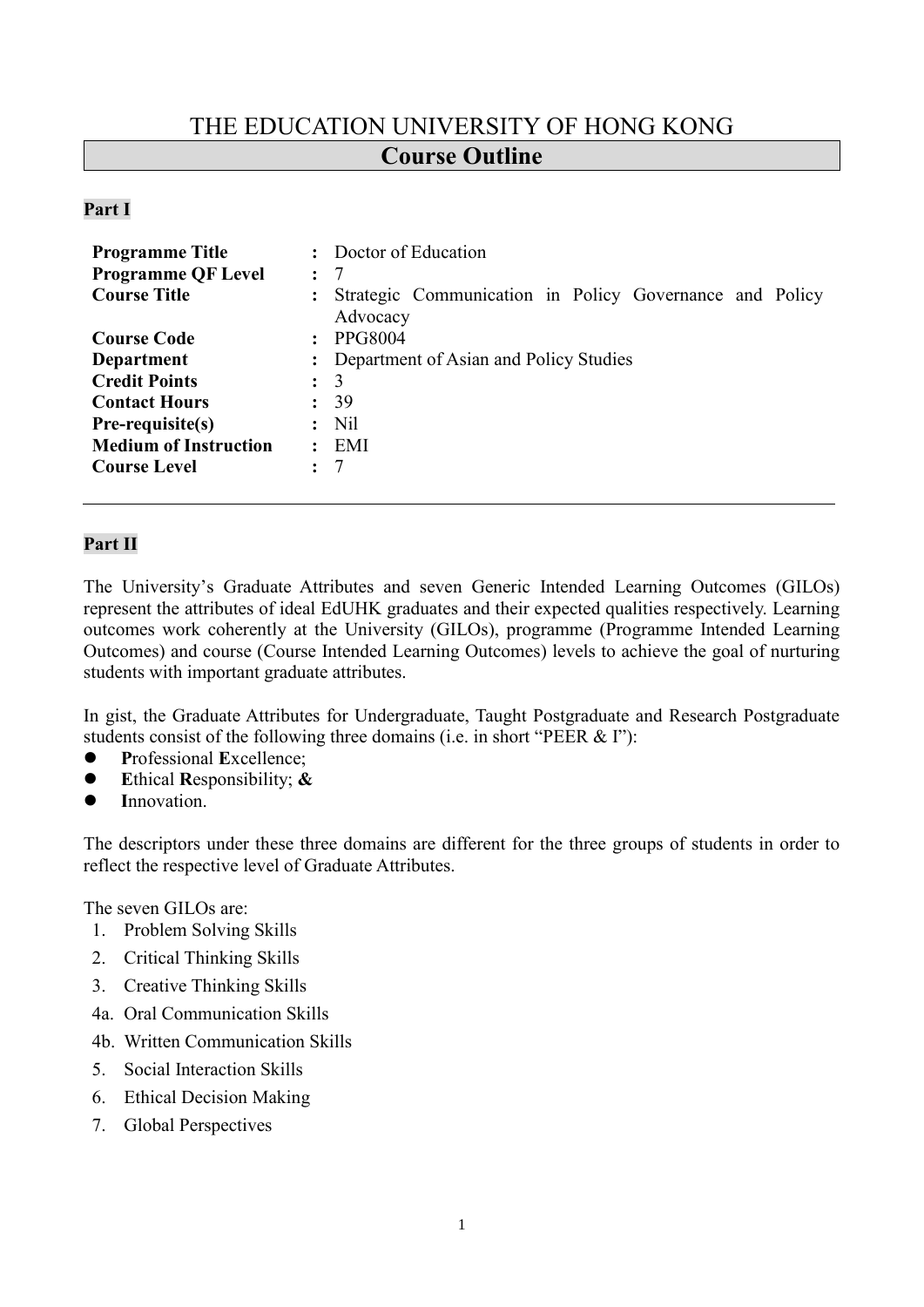# THE EDUCATION UNIVERSITY OF HONG KONG **Course Outline**

#### **Part I**

| <b>Programme Title</b>       |                      | Doctor of Education                                     |  |  |
|------------------------------|----------------------|---------------------------------------------------------|--|--|
| <b>Programme QF Level</b>    | $\ddot{\phantom{a}}$ | 7                                                       |  |  |
| <b>Course Title</b>          | $\ddot{\cdot}$       | Strategic Communication in Policy Governance and Policy |  |  |
|                              |                      | Advocacy                                                |  |  |
| <b>Course Code</b>           | $\mathbf{L}$         | <b>PPG8004</b>                                          |  |  |
| Department                   |                      | : Department of Asian and Policy Studies                |  |  |
| <b>Credit Points</b>         |                      | $\colon$ 3                                              |  |  |
| <b>Contact Hours</b>         |                      | : 39                                                    |  |  |
| Pre-requisite(s)             |                      | N <sub>il</sub>                                         |  |  |
| <b>Medium of Instruction</b> | $\ddot{\cdot}$       | EMI                                                     |  |  |
| <b>Course Level</b>          | $\ddot{\phantom{a}}$ | 7                                                       |  |  |
|                              |                      |                                                         |  |  |

# **Part II**

The University's Graduate Attributes and seven Generic Intended Learning Outcomes (GILOs) represent the attributes of ideal EdUHK graduates and their expected qualities respectively. Learning outcomes work coherently at the University (GILOs), programme (Programme Intended Learning Outcomes) and course (Course Intended Learning Outcomes) levels to achieve the goal of nurturing students with important graduate attributes.

In gist, the Graduate Attributes for Undergraduate, Taught Postgraduate and Research Postgraduate students consist of the following three domains (i.e. in short "PEER & I"):

- ⚫ **P**rofessional **E**xcellence;
- ⚫ **E**thical **R**esponsibility; **&**
- Innovation.

The descriptors under these three domains are different for the three groups of students in order to reflect the respective level of Graduate Attributes.

The seven GILOs are:

- 1. Problem Solving Skills
- 2. Critical Thinking Skills
- 3. Creative Thinking Skills
- 4a. Oral Communication Skills
- 4b. Written Communication Skills
- 5. Social Interaction Skills
- 6. Ethical Decision Making
- 7. Global Perspectives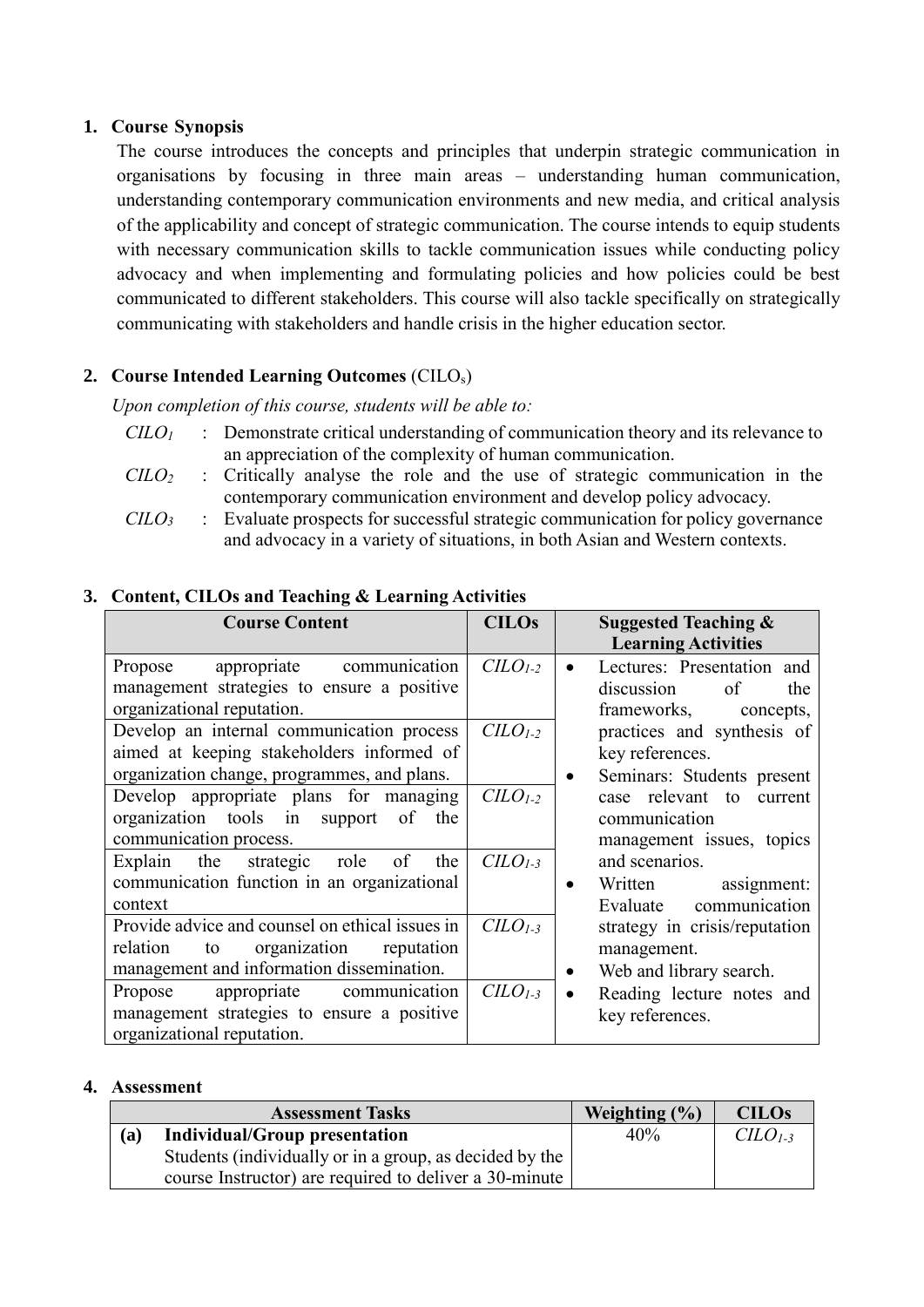### **1. Course Synopsis**

The course introduces the concepts and principles that underpin strategic communication in organisations by focusing in three main areas – understanding human communication, understanding contemporary communication environments and new media, and critical analysis of the applicability and concept of strategic communication. The course intends to equip students with necessary communication skills to tackle communication issues while conducting policy advocacy and when implementing and formulating policies and how policies could be best communicated to different stakeholders. This course will also tackle specifically on strategically communicating with stakeholders and handle crisis in the higher education sector.

# **2. Course Intended Learning Outcomes** (CILOs)

*Upon completion of this course, students will be able to:*

- *CILO<sup>1</sup>* : Demonstrate critical understanding of communication theory and its relevance to an appreciation of the complexity of human communication.
- *CILO<sup>2</sup>* : Critically analyse the role and the use of strategic communication in the contemporary communication environment and develop policy advocacy.
- *CILO<sup>3</sup>* : Evaluate prospects for successful strategic communication for policy governance and advocacy in a variety of situations, in both Asian and Western contexts.

#### **Course Content CILOS** Suggested Teaching & **Learning Activities** Propose appropriate communication management strategies to ensure a positive organizational reputation. *CILO1-2* • Lectures: Presentation and discussion of the frameworks, concepts, practices and synthesis of key references. • Seminars: Students present case relevant to current communication management issues, topics and scenarios. • Written assignment: Evaluate communication strategy in crisis/reputation management. • Web and library search. Reading lecture notes and key references. Develop an internal communication process aimed at keeping stakeholders informed of organization change, programmes, and plans. *CILO1-2* Develop appropriate plans for managing organization tools in support of the communication process. *CILO1-2* Explain the strategic role of the communication function in an organizational context *CILO1-3* Provide advice and counsel on ethical issues in relation to organization reputation management and information dissemination. *CILO1-3* Propose appropriate communication management strategies to ensure a positive organizational reputation. *CILO1-3*

#### **3. Content, CILOs and Teaching & Learning Activities**

#### **4. Assessment**

| <b>Assessment Tasks</b>                                 |                                      | Weighting $(\% )$ | <b>CILOs</b> |
|---------------------------------------------------------|--------------------------------------|-------------------|--------------|
| (a)                                                     | <b>Individual/Group presentation</b> | 40%               | $CLOL-3$     |
| Students (individually or in a group, as decided by the |                                      |                   |              |
| course Instructor) are required to deliver a 30-minute  |                                      |                   |              |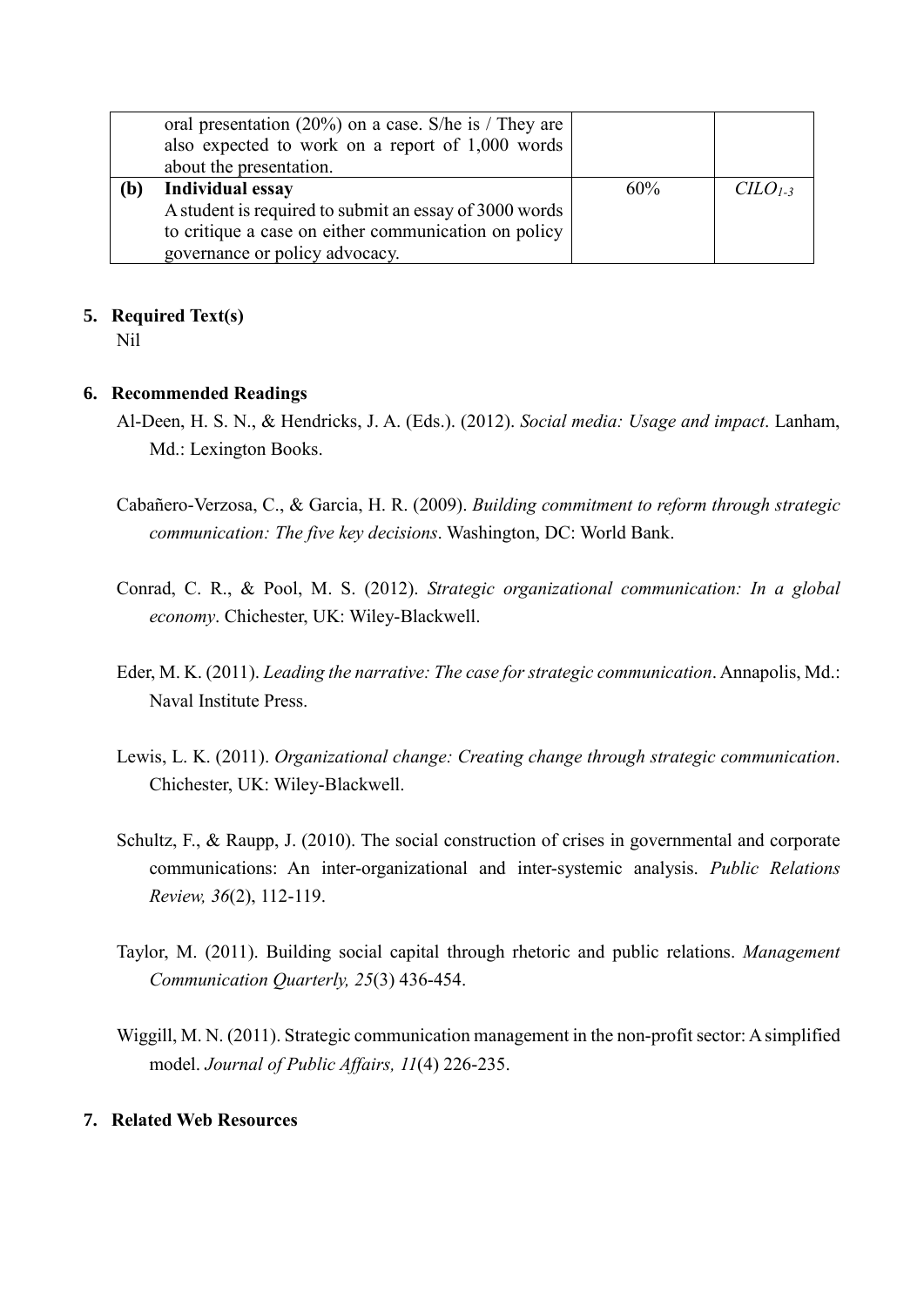|     | oral presentation $(20\%)$ on a case. S/he is / They are<br>also expected to work on a report of 1,000 words |     |          |
|-----|--------------------------------------------------------------------------------------------------------------|-----|----------|
|     | about the presentation.                                                                                      |     |          |
| (b) | Individual essay                                                                                             | 60% | $CLO1-3$ |
|     | A student is required to submit an essay of 3000 words                                                       |     |          |
|     | to critique a case on either communication on policy                                                         |     |          |
|     | governance or policy advocacy.                                                                               |     |          |

#### **5. Required Text(s)**

Nil

#### **6. Recommended Readings**

- Al-Deen, H. S. N., & Hendricks, J. A. (Eds.). (2012). *Social media: Usage and impact*. Lanham, Md.: Lexington Books.
- Cabañero-Verzosa, C., & Garcia, H. R. (2009). *Building commitment to reform through strategic communication: The five key decisions*. Washington, DC: World Bank.
- Conrad, C. R., & Pool, M. S. (2012). *Strategic organizational communication: In a global economy*. Chichester, UK: Wiley-Blackwell.
- Eder, M. K. (2011). *Leading the narrative: The case for strategic communication*. Annapolis, Md.: Naval Institute Press.
- Lewis, L. K. (2011). *Organizational change: Creating change through strategic communication*. Chichester, UK: Wiley-Blackwell.
- Schultz, F., & Raupp, J. (2010). The social construction of crises in governmental and corporate communications: An inter-organizational and inter-systemic analysis. *Public Relations Review, 36*(2), 112-119.
- Taylor, M. (2011). Building social capital through rhetoric and public relations. *Management Communication Quarterly, 25*(3) 436-454.
- Wiggill, M. N. (2011). Strategic communication management in the non-profit sector: A simplified model. *Journal of Public Affairs, 11*(4) 226-235.

#### **7. Related Web Resources**